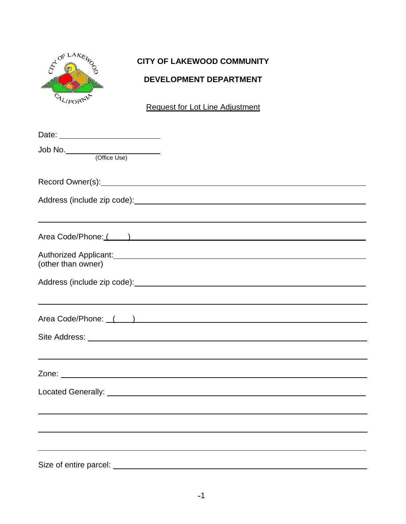

# **CITY OF LAKEWOOD COMMUNITY**

## **DEVELOPMENT DEPARTMENT**

Request for Lot Line Adjustment

| Date: <u>_________________________</u> |                                                                                                                                              |
|----------------------------------------|----------------------------------------------------------------------------------------------------------------------------------------------|
| Job No. (Office Use)                   |                                                                                                                                              |
|                                        | Record Owner(s): Necord Owner(s):                                                                                                            |
|                                        |                                                                                                                                              |
|                                        | <u> 1989 - Andrea San Andrea San Andrea San Andrea San Andrea San Andrea San Andrea San Andrea San Andrea San An</u><br>Area Code/Phone: ( ) |
|                                        |                                                                                                                                              |
| (other than owner)                     |                                                                                                                                              |
|                                        |                                                                                                                                              |
|                                        | <u> 1989 - Andrea San Andrea San Andrea San Andrea San Andrea San Andrea San Andrea San Andrea San Andrea San A</u>                          |
|                                        | Area Code/Phone: ( )                                                                                                                         |
|                                        |                                                                                                                                              |
|                                        | ,我们也不会有什么。""我们的人,我们也不会有什么?""我们的人,我们也不会有什么?""我们的人,我们也不会有什么?""我们的人,我们也不会有什么?""我们的人                                                             |
|                                        |                                                                                                                                              |
|                                        |                                                                                                                                              |
|                                        |                                                                                                                                              |
|                                        |                                                                                                                                              |
|                                        |                                                                                                                                              |
| Size of entire parcel:                 |                                                                                                                                              |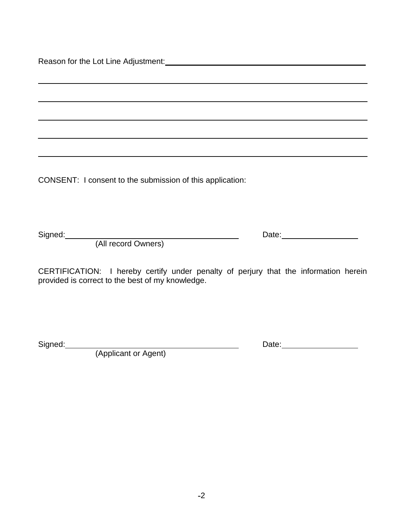Reason for the Lot Line Adjustment: Manual Advance Control of the Lot Line Adjustment: Manual Advance Control o

CONSENT: I consent to the submission of this application:

Signed: Date:

(All record Owners)

CERTIFICATION: I hereby certify under penalty of perjury that the information herein provided is correct to the best of my knowledge.

Signed: Date:

(Applicant or Agent)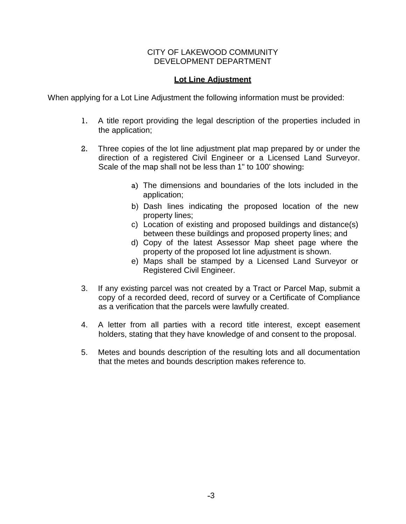#### CITY OF LAKEWOOD COMMUNITY DEVELOPMENT DEPARTMENT

#### **Lot Line Adjustment**

When applying for a Lot Line Adjustment the following information must be provided:

- 1. A title report providing the legal description of the properties included in the application;
- 2. Three copies of the lot line adjustment plat map prepared by or under the direction of a registered Civil Engineer or a Licensed Land Surveyor. Scale of the map shall not be less than 1" to 100' showing:
	- a) The dimensions and boundaries of the lots included in the application;
	- b) Dash lines indicating the proposed location of the new property lines;
	- c) Location of existing and proposed buildings and distance(s) between these buildings and proposed property lines; and
	- d) Copy of the latest Assessor Map sheet page where the property of the proposed lot line adjustment is shown.
	- e) Maps shall be stamped by a Licensed Land Surveyor or Registered Civil Engineer.
- 3. If any existing parcel was not created by a Tract or Parcel Map, submit a copy of a recorded deed, record of survey or a Certificate of Compliance as a verification that the parcels were lawfully created.
- 4. A letter from all parties with a record title interest, except easement holders, stating that they have knowledge of and consent to the proposal.
- 5. Metes and bounds description of the resulting lots and all documentation that the metes and bounds description makes reference to.